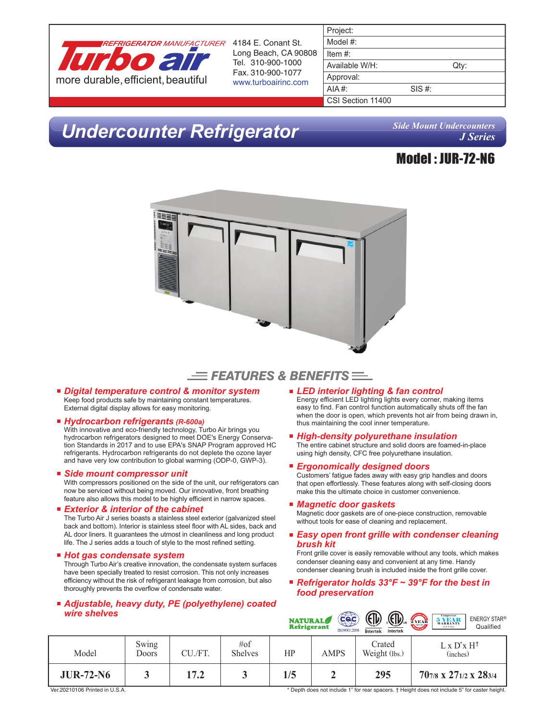

Long Beach, CA 90808 Tel. 310-900-1000

| Project:          |        |      |
|-------------------|--------|------|
| Model #:          |        |      |
| Item #:           |        |      |
| Available W/H:    |        | Qty: |
| Approval:         |        |      |
| AIA#:             | SIS #: |      |
| CSI Section 11400 |        |      |
|                   |        |      |

# *Undercounter Refrigerator*

*Side Mount Undercounters J Series*

### Model : JUR-72-N6



### $\equiv$  Features & Benefits  $\equiv$

*Digital temperature control & monitor system* Keep food products safe by maintaining constant temperatures. External digital display allows for easy monitoring.

#### *Hydrocarbon refrigerants (R-600a)*

With innovative and eco-friendly technology, Turbo Air brings you hydrocarbon refrigerators designed to meet DOE's Energy Conservation Standards in 2017 and to use EPA's SNAP Program approved HC refrigerants. Hydrocarbon refrigerants do not deplete the ozone layer and have very low contribution to global warming (ODP-0, GWP-3).

#### *Side mount compressor unit*

With compressors positioned on the side of the unit, our refrigerators can now be serviced without being moved. Our innovative, front breathing feature also allows this model to be highly efficient in narrow spaces.

#### *Exterior & interior of the cabinet* The Turbo Air J series boasts a stainless steel exterior (galvanized steel back and bottom). Interior is stainless steel floor with AL sides, back and AL door liners. It guarantees the utmost in cleanliness and long product life. The J series adds a touch of style to the most refined setting.

#### *Hot gas condensate system*

Through Turbo Air's creative innovation, the condensate system surfaces have been specially treated to resist corrosion. This not only increases efficiency without the risk of refrigerant leakage from corrosion, but also thoroughly prevents the overflow of condensate water.

### *Adjustable, heavy duty, PE (polyethylene) coated wire shelves*

- *LED interior lighting & fan control* Energy efficient LED lighting lights every corner, making items easy to find. Fan control function automatically shuts off the fan when the door is open, which prevents hot air from being drawn in, thus maintaining the cool inner temperature.
- *High-density polyurethane insulation* The entire cabinet structure and solid doors are foamed-in-place using high density, CFC free polyurethane insulation.
- *Ergonomically designed doors*

Customers' fatigue fades away with easy grip handles and doors that open effortlessly. These features along with self-closing doors make this the ultimate choice in customer convenience.

*Magnetic door gaskets*

Magnetic door gaskets are of one-piece construction, removable without tools for ease of cleaning and replacement.

#### *Easy open front grille with condenser cleaning brush kit*

Front grille cover is easily removable without any tools, which makes condenser cleaning easy and convenient at any time. Handy condenser cleaning brush is included inside the front grille cover.

■ *Refrigerator holds 33°F ~ 39°F for the best in food preservation*

| wire shelves     |                |         |                           | <b>NATURAL</b><br><b>Refrigerant</b> | Cac<br>ISO9001:2008 | ⊕<br><b>ED</b><br>Intertek<br>Intertek | 5 YEAR<br><b>ENERGY STAR®</b><br>2 YEAR<br><b>WARRANTY</b><br><b>CARGOLIA</b><br>Qualified<br>(U.S.A only) |  |
|------------------|----------------|---------|---------------------------|--------------------------------------|---------------------|----------------------------------------|------------------------------------------------------------------------------------------------------------|--|
| Model            | Swing<br>Doors | CU./FT. | $\#$ of<br><b>Shelves</b> | HP                                   | <b>AMPS</b>         | Crated<br>Weight (lbs.)                | $L \times D^* \times H^{\dagger}$<br>(inches)                                                              |  |
| <b>JUR-72-N6</b> |                | 17.2    |                           | 1/5                                  |                     | 295                                    | 707/8 x 271/2 x 283/4                                                                                      |  |

Ver.20210106 Printed in U.S.A.

\* Depth does not include 1" for rear spacers. † Height does not include 5" for caster height.